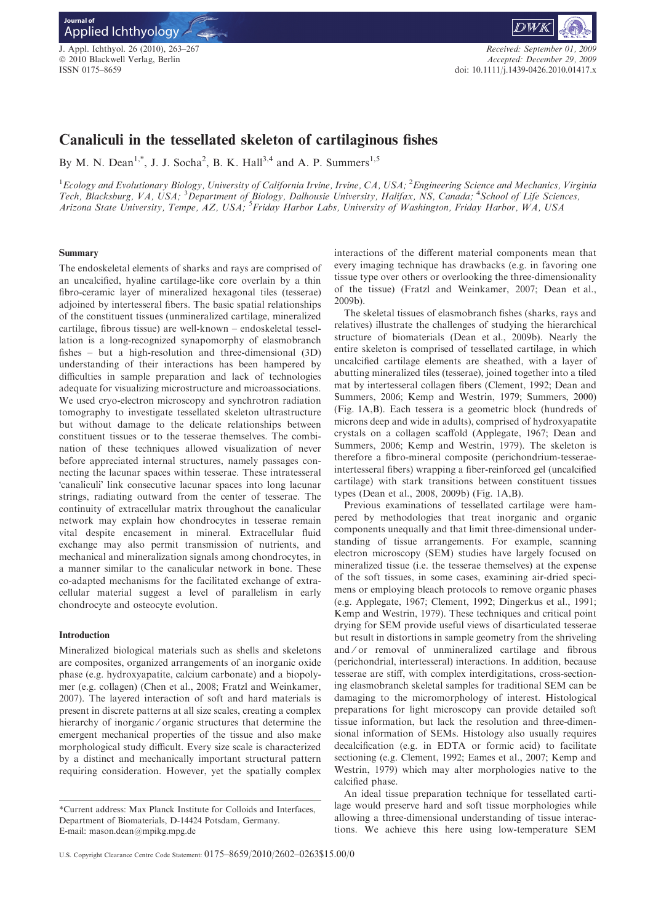Applied Ichthyology **Journal of**

J. Appl. Ichthyol. 26 (2010), 263–267  $© 2010 Blackwell Verlag, Berlin$ ISSN 0175–8659



# Canaliculi in the tessellated skeleton of cartilaginous fishes

By M. N. Dean<sup>1,\*</sup>, J. J. Socha<sup>2</sup>, B. K. Hall<sup>3,4</sup> and A. P. Summers<sup>1,5</sup>

 $^1$ Ecology and Evolutionary Biology, University of California Irvine, Irvine, CA, USA;  $^2$ Engineering Science and Mechanics, Virginia Tech, Blacksburg, VA, USA; <sup>3</sup>Department of Biology, Dalhousie University, Halifax, NS, Canada; <sup>4</sup>School of Life Sciences, Arizona State University, Tempe, AZ, USA; <sup>5</sup>Friday Harbor Labs, University of Washington, Friday Harbor, WA, USA

# Summary

The endoskeletal elements of sharks and rays are comprised of an uncalcified, hyaline cartilage-like core overlain by a thin fibro-ceramic layer of mineralized hexagonal tiles (tesserae) adjoined by intertesseral fibers. The basic spatial relationships of the constituent tissues (unmineralized cartilage, mineralized cartilage, fibrous tissue) are well-known – endoskeletal tessellation is a long-recognized synapomorphy of elasmobranch fishes – but a high-resolution and three-dimensional (3D) understanding of their interactions has been hampered by difficulties in sample preparation and lack of technologies adequate for visualizing microstructure and microassociations. We used cryo-electron microscopy and synchrotron radiation tomography to investigate tessellated skeleton ultrastructure but without damage to the delicate relationships between constituent tissues or to the tesserae themselves. The combination of these techniques allowed visualization of never before appreciated internal structures, namely passages connecting the lacunar spaces within tesserae. These intratesseral !canaliculi" link consecutive lacunar spaces into long lacunar strings, radiating outward from the center of tesserae. The continuity of extracellular matrix throughout the canalicular network may explain how chondrocytes in tesserae remain vital despite encasement in mineral. Extracellular fluid exchange may also permit transmission of nutrients, and mechanical and mineralization signals among chondrocytes, in a manner similar to the canalicular network in bone. These co-adapted mechanisms for the facilitated exchange of extracellular material suggest a level of parallelism in early chondrocyte and osteocyte evolution.

# Introduction

Mineralized biological materials such as shells and skeletons are composites, organized arrangements of an inorganic oxide phase (e.g. hydroxyapatite, calcium carbonate) and a biopolymer (e.g. collagen) (Chen et al., 2008; Fratzl and Weinkamer, 2007). The layered interaction of soft and hard materials is present in discrete patterns at all size scales, creating a complex hierarchy of inorganic/organic structures that determine the emergent mechanical properties of the tissue and also make morphological study difficult. Every size scale is characterized by a distinct and mechanically important structural pattern requiring consideration. However, yet the spatially complex interactions of the different material components mean that every imaging technique has drawbacks (e.g. in favoring one tissue type over others or overlooking the three-dimensionality of the tissue) (Fratzl and Weinkamer, 2007; Dean et al., 2009b).

The skeletal tissues of elasmobranch fishes (sharks, rays and relatives) illustrate the challenges of studying the hierarchical structure of biomaterials (Dean et al., 2009b). Nearly the entire skeleton is comprised of tessellated cartilage, in which uncalcified cartilage elements are sheathed, with a layer of abutting mineralized tiles (tesserae), joined together into a tiled mat by intertesseral collagen fibers (Clement, 1992; Dean and Summers, 2006; Kemp and Westrin, 1979; Summers, 2000) (Fig. 1A,B). Each tessera is a geometric block (hundreds of microns deep and wide in adults), comprised of hydroxyapatite crystals on a collagen scaffold (Applegate, 1967; Dean and Summers, 2006; Kemp and Westrin, 1979). The skeleton is therefore a fibro-mineral composite (perichondrium-tesseraeintertesseral fibers) wrapping a fiber-reinforced gel (uncalcified cartilage) with stark transitions between constituent tissues types (Dean et al., 2008, 2009b) (Fig. 1A,B).

Previous examinations of tessellated cartilage were hampered by methodologies that treat inorganic and organic components unequally and that limit three-dimensional understanding of tissue arrangements. For example, scanning electron microscopy (SEM) studies have largely focused on mineralized tissue (i.e. the tesserae themselves) at the expense of the soft tissues, in some cases, examining air-dried specimens or employing bleach protocols to remove organic phases (e.g. Applegate, 1967; Clement, 1992; Dingerkus et al., 1991; Kemp and Westrin, 1979). These techniques and critical point drying for SEM provide useful views of disarticulated tesserae but result in distortions in sample geometry from the shriveling and ⁄ or removal of unmineralized cartilage and fibrous (perichondrial, intertesseral) interactions. In addition, because tesserae are stiff, with complex interdigitations, cross-sectioning elasmobranch skeletal samples for traditional SEM can be damaging to the micromorphology of interest. Histological preparations for light microscopy can provide detailed soft tissue information, but lack the resolution and three-dimensional information of SEMs. Histology also usually requires decalcification (e.g. in EDTA or formic acid) to facilitate sectioning (e.g. Clement, 1992; Eames et al., 2007; Kemp and Westrin, 1979) which may alter morphologies native to the calcified phase.

An ideal tissue preparation technique for tessellated cartilage would preserve hard and soft tissue morphologies while allowing a three-dimensional understanding of tissue interactions. We achieve this here using low-temperature SEM

<sup>\*</sup>Current address: Max Planck Institute for Colloids and Interfaces, Department of Biomaterials, D-14424 Potsdam, Germany. E-mail: mason.dean@mpikg.mpg.de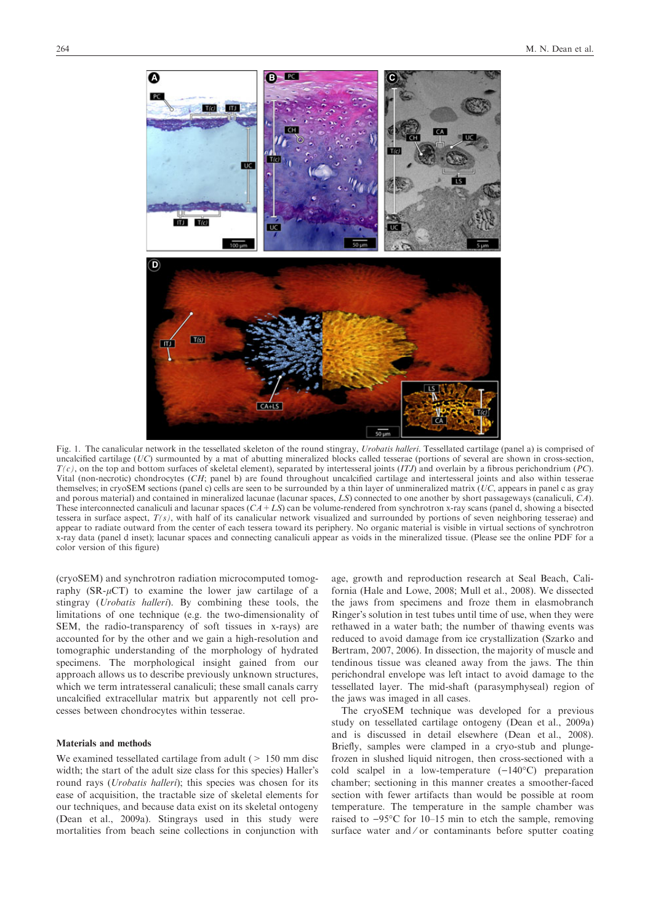

Fig. 1. The canalicular network in the tessellated skeleton of the round stingray, Urobatis halleri. Tessellated cartilage (panel a) is comprised of uncalcified cartilage  $(UC)$  surmounted by a mat of abutting mineralized blocks called tesserae (portions of several are shown in cross-section,  $T(c)$ , on the top and bottom surfaces of skeletal element), separated by intertesseral joints (ITJ) and overlain by a fibrous perichondrium (PC). Vital (non-necrotic) chondrocytes (CH; panel b) are found throughout uncalcified cartilage and intertesseral joints and also within tesserae themselves; in cryoSEM sections (panel c) cells are seen to be surrounded by a thin layer of unmineralized matrix  $(UC)$ , appears in panel c as gray and porous material) and contained in mineralized lacunae (lacunar spaces, LS) connected to one another by short passageways (canaliculi,  $CA$ ). These interconnected canaliculi and lacunar spaces  $(CA+LS)$  can be volume-rendered from synchrotron x-ray scans (panel d, showing a bisected tessera in surface aspect,  $T(s)$ , with half of its canalicular network visualized and surrounded by portions of seven neighboring tesserae) and appear to radiate outward from the center of each tessera toward its periphery. No organic material is visible in virtual sections of synchrotron x-ray data (panel d inset); lacunar spaces and connecting canaliculi appear as voids in the mineralized tissue. (Please see the online PDF for a color version of this figure)

(cryoSEM) and synchrotron radiation microcomputed tomography  $(SR-\mu CT)$  to examine the lower jaw cartilage of a stingray (Urobatis halleri). By combining these tools, the limitations of one technique (e.g. the two-dimensionality of SEM, the radio-transparency of soft tissues in x-rays) are accounted for by the other and we gain a high-resolution and tomographic understanding of the morphology of hydrated specimens. The morphological insight gained from our approach allows us to describe previously unknown structures, which we term intratesseral canaliculi; these small canals carry uncalcified extracellular matrix but apparently not cell processes between chondrocytes within tesserae.

# Materials and methods

We examined tessellated cartilage from adult  $(> 150$  mm disc width; the start of the adult size class for this species) Haller"s round rays (Urobatis halleri); this species was chosen for its ease of acquisition, the tractable size of skeletal elements for our techniques, and because data exist on its skeletal ontogeny (Dean et al., 2009a). Stingrays used in this study were mortalities from beach seine collections in conjunction with age, growth and reproduction research at Seal Beach, California (Hale and Lowe, 2008; Mull et al., 2008). We dissected the jaws from specimens and froze them in elasmobranch Ringer's solution in test tubes until time of use, when they were rethawed in a water bath; the number of thawing events was reduced to avoid damage from ice crystallization (Szarko and Bertram, 2007, 2006). In dissection, the majority of muscle and tendinous tissue was cleaned away from the jaws. The thin perichondral envelope was left intact to avoid damage to the tessellated layer. The mid-shaft (parasymphyseal) region of the jaws was imaged in all cases.

The cryoSEM technique was developed for a previous study on tessellated cartilage ontogeny (Dean et al., 2009a) and is discussed in detail elsewhere (Dean et al., 2008). Briefly, samples were clamped in a cryo-stub and plungefrozen in slushed liquid nitrogen, then cross-sectioned with a cold scalpel in a low-temperature  $(-140^{\circ}C)$  preparation chamber; sectioning in this manner creates a smoother-faced section with fewer artifacts than would be possible at room temperature. The temperature in the sample chamber was raised to  $-95^{\circ}$ C for 10–15 min to etch the sample, removing surface water and ⁄ or contaminants before sputter coating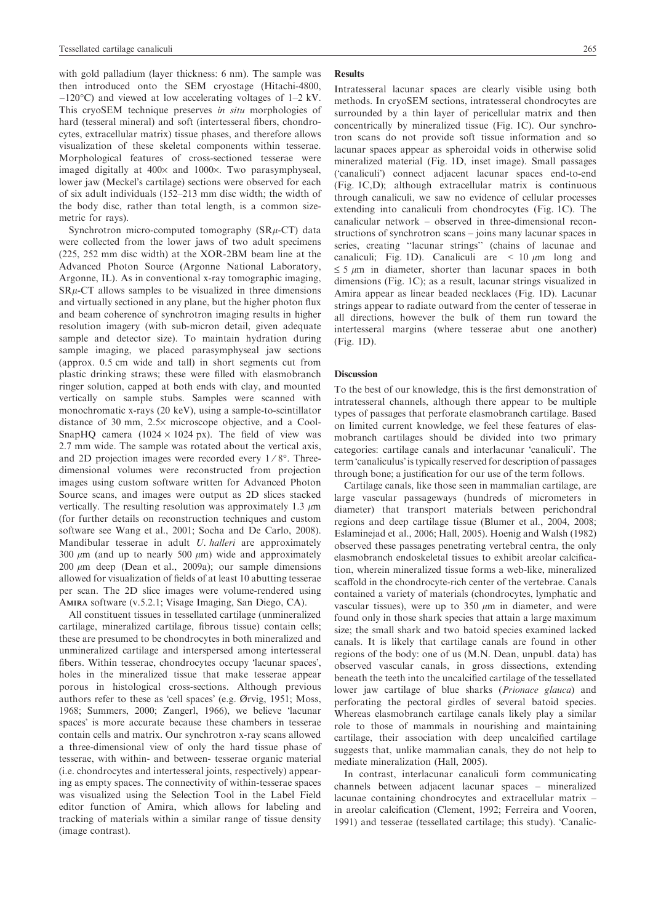with gold palladium (layer thickness: 6 nm). The sample was then introduced onto the SEM cryostage (Hitachi-4800,  $-120^{\circ}$ C) and viewed at low accelerating voltages of 1–2 kV. This cryoSEM technique preserves in situ morphologies of hard (tesseral mineral) and soft (intertesseral fibers, chondrocytes, extracellular matrix) tissue phases, and therefore allows visualization of these skeletal components within tesserae. Morphological features of cross-sectioned tesserae were imaged digitally at  $400 \times$  and  $1000 \times$ . Two parasymphyseal, lower jaw (Meckel"s cartilage) sections were observed for each of six adult individuals (152–213 mm disc width; the width of the body disc, rather than total length, is a common sizemetric for rays).

Synchrotron micro-computed tomography ( $SR\mu$ -CT) data were collected from the lower jaws of two adult specimens (225, 252 mm disc width) at the XOR-2BM beam line at the Advanced Photon Source (Argonne National Laboratory, Argonne, IL). As in conventional x-ray tomographic imaging,  $SR\mu$ -CT allows samples to be visualized in three dimensions and virtually sectioned in any plane, but the higher photon flux and beam coherence of synchrotron imaging results in higher resolution imagery (with sub-micron detail, given adequate sample and detector size). To maintain hydration during sample imaging, we placed parasymphyseal jaw sections (approx. 0.5 cm wide and tall) in short segments cut from plastic drinking straws; these were filled with elasmobranch ringer solution, capped at both ends with clay, and mounted vertically on sample stubs. Samples were scanned with monochromatic x-rays (20 keV), using a sample-to-scintillator distance of 30 mm,  $2.5\times$  microscope objective, and a Cool-SnapHQ camera  $(1024 \times 1024 \text{ px})$ . The field of view was 2.7 mm wide. The sample was rotated about the vertical axis, and 2D projection images were recorded every  $1/8^\circ$ . Threedimensional volumes were reconstructed from projection images using custom software written for Advanced Photon Source scans, and images were output as 2D slices stacked vertically. The resulting resolution was approximately 1.3  $\mu$ m (for further details on reconstruction techniques and custom software see Wang et al., 2001; Socha and De Carlo, 2008). Mandibular tesserae in adult U. halleri are approximately 300  $\mu$ m (and up to nearly 500  $\mu$ m) wide and approximately  $200 \mu m$  deep (Dean et al., 2009a); our sample dimensions allowed for visualization of fields of at least 10 abutting tesserae per scan. The 2D slice images were volume-rendered using AMIRA software (v.5.2.1; Visage Imaging, San Diego, CA).

All constituent tissues in tessellated cartilage (unmineralized cartilage, mineralized cartilage, fibrous tissue) contain cells; these are presumed to be chondrocytes in both mineralized and unmineralized cartilage and interspersed among intertesseral fibers. Within tesserae, chondrocytes occupy 'lacunar spaces', holes in the mineralized tissue that make tesserae appear porous in histological cross-sections. Although previous authors refer to these as 'cell spaces' (e.g. Ørvig, 1951; Moss, 1968; Summers, 2000; Zangerl, 1966), we believe 'lacunar spaces' is more accurate because these chambers in tesserae contain cells and matrix. Our synchrotron x-ray scans allowed a three-dimensional view of only the hard tissue phase of tesserae, with within- and between- tesserae organic material (i.e. chondrocytes and intertesseral joints, respectively) appearing as empty spaces. The connectivity of within-tesserae spaces was visualized using the Selection Tool in the Label Field editor function of Amira, which allows for labeling and tracking of materials within a similar range of tissue density (image contrast).

### Results

Intratesseral lacunar spaces are clearly visible using both methods. In cryoSEM sections, intratesseral chondrocytes are surrounded by a thin layer of pericellular matrix and then concentrically by mineralized tissue (Fig. 1C). Our synchrotron scans do not provide soft tissue information and so lacunar spaces appear as spheroidal voids in otherwise solid mineralized material (Fig. 1D, inset image). Small passages (!canaliculi") connect adjacent lacunar spaces end-to-end (Fig. 1C,D); although extracellular matrix is continuous through canaliculi, we saw no evidence of cellular processes extending into canaliculi from chondrocytes (Fig. 1C). The canalicular network – observed in three-dimensional reconstructions of synchrotron scans – joins many lacunar spaces in series, creating ''lacunar strings'' (chains of lacunae and canaliculi; Fig. 1D). Canaliculi are  $\lt$  10  $\mu$ m long and  $\leq$  5  $\mu$ m in diameter, shorter than lacunar spaces in both dimensions (Fig. 1C); as a result, lacunar strings visualized in Amira appear as linear beaded necklaces (Fig. 1D). Lacunar strings appear to radiate outward from the center of tesserae in all directions, however the bulk of them run toward the intertesseral margins (where tesserae abut one another) (Fig. 1D).

#### **Discussion**

To the best of our knowledge, this is the first demonstration of intratesseral channels, although there appear to be multiple types of passages that perforate elasmobranch cartilage. Based on limited current knowledge, we feel these features of elasmobranch cartilages should be divided into two primary categories: cartilage canals and interlacunar 'canaliculi'. The term 'canaliculus' is typically reserved for description of passages through bone; a justification for our use of the term follows.

Cartilage canals, like those seen in mammalian cartilage, are large vascular passageways (hundreds of micrometers in diameter) that transport materials between perichondral regions and deep cartilage tissue (Blumer et al., 2004, 2008; Eslaminejad et al., 2006; Hall, 2005). Hoenig and Walsh (1982) observed these passages penetrating vertebral centra, the only elasmobranch endoskeletal tissues to exhibit areolar calcification, wherein mineralized tissue forms a web-like, mineralized scaffold in the chondrocyte-rich center of the vertebrae. Canals contained a variety of materials (chondrocytes, lymphatic and vascular tissues), were up to  $350 \mu m$  in diameter, and were found only in those shark species that attain a large maximum size; the small shark and two batoid species examined lacked canals. It is likely that cartilage canals are found in other regions of the body: one of us (M.N. Dean, unpubl. data) has observed vascular canals, in gross dissections, extending beneath the teeth into the uncalcified cartilage of the tessellated lower jaw cartilage of blue sharks (Prionace glauca) and perforating the pectoral girdles of several batoid species. Whereas elasmobranch cartilage canals likely play a similar role to those of mammals in nourishing and maintaining cartilage, their association with deep uncalcified cartilage suggests that, unlike mammalian canals, they do not help to mediate mineralization (Hall, 2005).

In contrast, interlacunar canaliculi form communicating channels between adjacent lacunar spaces – mineralized lacunae containing chondrocytes and extracellular matrix – in areolar calcification (Clement, 1992; Ferreira and Vooren, 1991) and tesserae (tessellated cartilage; this study). 'Canalic-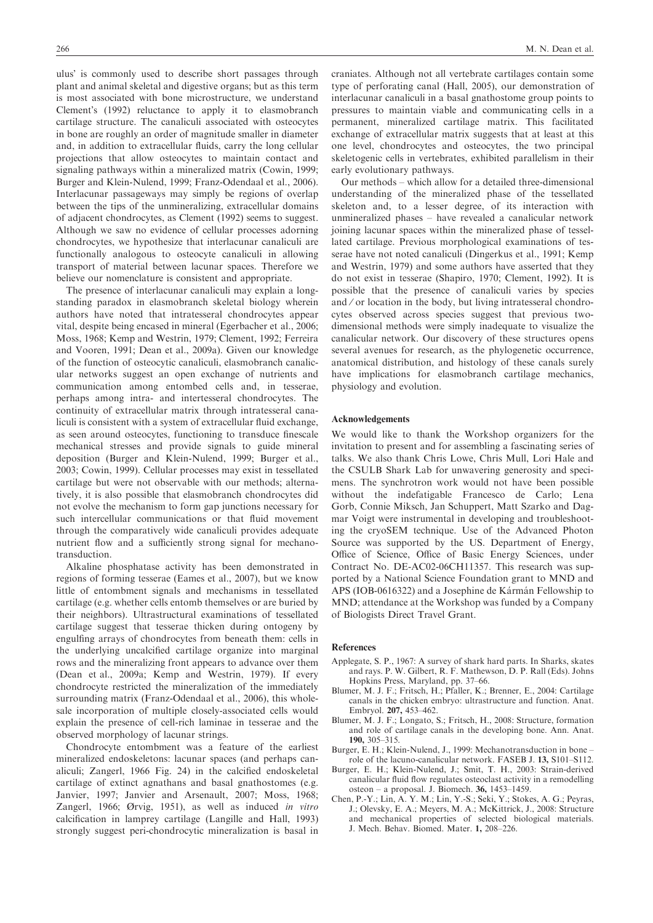ulus" is commonly used to describe short passages through plant and animal skeletal and digestive organs; but as this term is most associated with bone microstructure, we understand Clement"s (1992) reluctance to apply it to elasmobranch cartilage structure. The canaliculi associated with osteocytes in bone are roughly an order of magnitude smaller in diameter and, in addition to extracellular fluids, carry the long cellular projections that allow osteocytes to maintain contact and signaling pathways within a mineralized matrix (Cowin, 1999; Burger and Klein-Nulend, 1999; Franz-Odendaal et al., 2006). Interlacunar passageways may simply be regions of overlap between the tips of the unmineralizing, extracellular domains of adjacent chondrocytes, as Clement (1992) seems to suggest. Although we saw no evidence of cellular processes adorning chondrocytes, we hypothesize that interlacunar canaliculi are functionally analogous to osteocyte canaliculi in allowing transport of material between lacunar spaces. Therefore we believe our nomenclature is consistent and appropriate.

The presence of interlacunar canaliculi may explain a longstanding paradox in elasmobranch skeletal biology wherein authors have noted that intratesseral chondrocytes appear vital, despite being encased in mineral (Egerbacher et al., 2006; Moss, 1968; Kemp and Westrin, 1979; Clement, 1992; Ferreira and Vooren, 1991; Dean et al., 2009a). Given our knowledge of the function of osteocytic canaliculi, elasmobranch canalicular networks suggest an open exchange of nutrients and communication among entombed cells and, in tesserae, perhaps among intra- and intertesseral chondrocytes. The continuity of extracellular matrix through intratesseral canaliculi is consistent with a system of extracellular fluid exchange, as seen around osteocytes, functioning to transduce finescale mechanical stresses and provide signals to guide mineral deposition (Burger and Klein-Nulend, 1999; Burger et al., 2003; Cowin, 1999). Cellular processes may exist in tessellated cartilage but were not observable with our methods; alternatively, it is also possible that elasmobranch chondrocytes did not evolve the mechanism to form gap junctions necessary for such intercellular communications or that fluid movement through the comparatively wide canaliculi provides adequate nutrient flow and a sufficiently strong signal for mechanotransduction.

Alkaline phosphatase activity has been demonstrated in regions of forming tesserae (Eames et al., 2007), but we know little of entombment signals and mechanisms in tessellated cartilage (e.g. whether cells entomb themselves or are buried by their neighbors). Ultrastructural examinations of tessellated cartilage suggest that tesserae thicken during ontogeny by engulfing arrays of chondrocytes from beneath them: cells in the underlying uncalcified cartilage organize into marginal rows and the mineralizing front appears to advance over them (Dean et al., 2009a; Kemp and Westrin, 1979). If every chondrocyte restricted the mineralization of the immediately surrounding matrix (Franz-Odendaal et al., 2006), this wholesale incorporation of multiple closely-associated cells would explain the presence of cell-rich laminae in tesserae and the observed morphology of lacunar strings.

Chondrocyte entombment was a feature of the earliest mineralized endoskeletons: lacunar spaces (and perhaps canaliculi; Zangerl, 1966 Fig. 24) in the calcified endoskeletal cartilage of extinct agnathans and basal gnathostomes (e.g. Janvier, 1997; Janvier and Arsenault, 2007; Moss, 1968; Zangerl, 1966; Ørvig, 1951), as well as induced in vitro calcification in lamprey cartilage (Langille and Hall, 1993) strongly suggest peri-chondrocytic mineralization is basal in craniates. Although not all vertebrate cartilages contain some type of perforating canal (Hall, 2005), our demonstration of interlacunar canaliculi in a basal gnathostome group points to pressures to maintain viable and communicating cells in a permanent, mineralized cartilage matrix. This facilitated exchange of extracellular matrix suggests that at least at this one level, chondrocytes and osteocytes, the two principal skeletogenic cells in vertebrates, exhibited parallelism in their early evolutionary pathways.

Our methods – which allow for a detailed three-dimensional understanding of the mineralized phase of the tessellated skeleton and, to a lesser degree, of its interaction with unmineralized phases – have revealed a canalicular network joining lacunar spaces within the mineralized phase of tessellated cartilage. Previous morphological examinations of tesserae have not noted canaliculi (Dingerkus et al., 1991; Kemp and Westrin, 1979) and some authors have asserted that they do not exist in tesserae (Shapiro, 1970; Clement, 1992). It is possible that the presence of canaliculi varies by species and ⁄ or location in the body, but living intratesseral chondrocytes observed across species suggest that previous twodimensional methods were simply inadequate to visualize the canalicular network. Our discovery of these structures opens several avenues for research, as the phylogenetic occurrence, anatomical distribution, and histology of these canals surely have implications for elasmobranch cartilage mechanics, physiology and evolution.

#### Acknowledgements

We would like to thank the Workshop organizers for the invitation to present and for assembling a fascinating series of talks. We also thank Chris Lowe, Chris Mull, Lori Hale and the CSULB Shark Lab for unwavering generosity and specimens. The synchrotron work would not have been possible without the indefatigable Francesco de Carlo; Lena Gorb, Connie Miksch, Jan Schuppert, Matt Szarko and Dagmar Voigt were instrumental in developing and troubleshooting the cryoSEM technique. Use of the Advanced Photon Source was supported by the US. Department of Energy, Office of Science, Office of Basic Energy Sciences, under Contract No. DE-AC02-06CH11357. This research was supported by a National Science Foundation grant to MND and APS (IOB-0616322) and a Josephine de Kármán Fellowship to MND; attendance at the Workshop was funded by a Company of Biologists Direct Travel Grant.

#### References

- Applegate, S. P., 1967: A survey of shark hard parts. In Sharks, skates and rays. P. W. Gilbert, R. F. Mathewson, D. P. Rall (Eds). Johns Hopkins Press, Maryland, pp. 37–66.
- Blumer, M. J. F.; Fritsch, H.; Pfaller, K.; Brenner, E., 2004: Cartilage canals in the chicken embryo: ultrastructure and function. Anat. Embryol. 207, 453–462.
- Blumer, M. J. F.; Longato, S.; Fritsch, H., 2008: Structure, formation and role of cartilage canals in the developing bone. Ann. Anat. 190, 305–315.
- Burger, E. H.; Klein-Nulend, J., 1999: Mechanotransduction in bone role of the lacuno-canalicular network. FASEB J. 13, S101–S112.
- Burger, E. H.; Klein-Nulend, J.; Smit, T. H., 2003: Strain-derived canalicular fluid flow regulates osteoclast activity in a remodelling osteon – a proposal. J. Biomech. 36, 1453–1459.
- Chen, P.-Y.; Lin, A. Y. M.; Lin, Y.-S.; Seki, Y.; Stokes, A. G.; Peyras, J.; Olevsky, E. A.; Meyers, M. A.; McKittrick, J., 2008: Structure and mechanical properties of selected biological materials. J. Mech. Behav. Biomed. Mater. 1, 208–226.